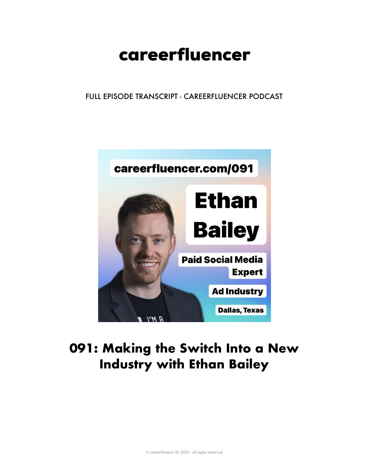# careerfluencer

FULL EPISODE TRANSCRIPT - CAREERFLUENCER PODCAST



## 091: Making the Switch Into a New **Industry with Ethan Bailey**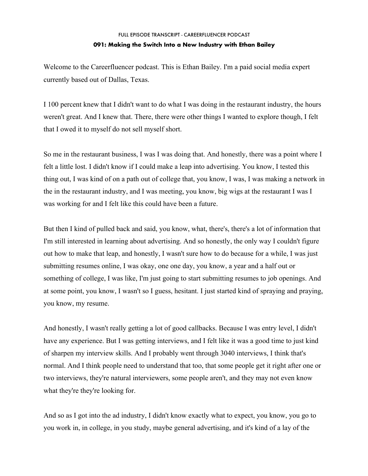Welcome to the Careerfluencer podcast. This is Ethan Bailey. I'm a paid social media expert currently based out of Dallas, Texas.

I 100 percent knew that I didn't want to do what I was doing in the restaurant industry, the hours weren't great. And I knew that. There, there were other things I wanted to explore though, I felt that I owed it to myself do not sell myself short.

So me in the restaurant business, I was I was doing that. And honestly, there was a point where I felt a little lost. I didn't know if I could make a leap into advertising. You know, I tested this thing out, I was kind of on a path out of college that, you know, I was, I was making a network in the in the restaurant industry, and I was meeting, you know, big wigs at the restaurant I was I was working for and I felt like this could have been a future.

But then I kind of pulled back and said, you know, what, there's, there's a lot of information that I'm still interested in learning about advertising. And so honestly, the only way I couldn't figure out how to make that leap, and honestly, I wasn't sure how to do because for a while, I was just submitting resumes online, I was okay, one one day, you know, a year and a half out or something of college, I was like, I'm just going to start submitting resumes to job openings. And at some point, you know, I wasn't so I guess, hesitant. I just started kind of spraying and praying, you know, my resume.

And honestly, I wasn't really getting a lot of good callbacks. Because I was entry level, I didn't have any experience. But I was getting interviews, and I felt like it was a good time to just kind of sharpen my interview skills. And I probably went through 3040 interviews, I think that's normal. And I think people need to understand that too, that some people get it right after one or two interviews, they're natural interviewers, some people aren't, and they may not even know what they're they're looking for.

And so as I got into the ad industry, I didn't know exactly what to expect, you know, you go to you work in, in college, in you study, maybe general advertising, and it's kind of a lay of the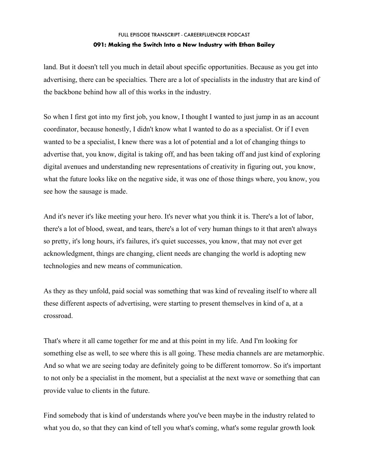land. But it doesn't tell you much in detail about specific opportunities. Because as you get into advertising, there can be specialties. There are a lot of specialists in the industry that are kind of the backbone behind how all of this works in the industry.

So when I first got into my first job, you know, I thought I wanted to just jump in as an account coordinator, because honestly, I didn't know what I wanted to do as a specialist. Or if I even wanted to be a specialist, I knew there was a lot of potential and a lot of changing things to advertise that, you know, digital is taking off, and has been taking off and just kind of exploring digital avenues and understanding new representations of creativity in figuring out, you know, what the future looks like on the negative side, it was one of those things where, you know, you see how the sausage is made.

And it's never it's like meeting your hero. It's never what you think it is. There's a lot of labor, there's a lot of blood, sweat, and tears, there's a lot of very human things to it that aren't always so pretty, it's long hours, it's failures, it's quiet successes, you know, that may not ever get acknowledgment, things are changing, client needs are changing the world is adopting new technologies and new means of communication.

As they as they unfold, paid social was something that was kind of revealing itself to where all these different aspects of advertising, were starting to present themselves in kind of a, at a crossroad.

That's where it all came together for me and at this point in my life. And I'm looking for something else as well, to see where this is all going. These media channels are are metamorphic. And so what we are seeing today are definitely going to be different tomorrow. So it's important to not only be a specialist in the moment, but a specialist at the next wave or something that can provide value to clients in the future.

Find somebody that is kind of understands where you've been maybe in the industry related to what you do, so that they can kind of tell you what's coming, what's some regular growth look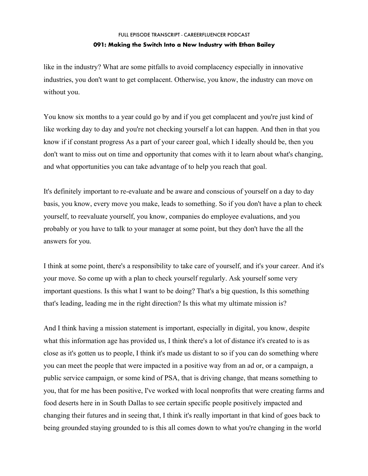like in the industry? What are some pitfalls to avoid complacency especially in innovative industries, you don't want to get complacent. Otherwise, you know, the industry can move on without you.

You know six months to a year could go by and if you get complacent and you're just kind of like working day to day and you're not checking yourself a lot can happen. And then in that you know if if constant progress As a part of your career goal, which I ideally should be, then you don't want to miss out on time and opportunity that comes with it to learn about what's changing, and what opportunities you can take advantage of to help you reach that goal.

It's definitely important to re-evaluate and be aware and conscious of yourself on a day to day basis, you know, every move you make, leads to something. So if you don't have a plan to check yourself, to reevaluate yourself, you know, companies do employee evaluations, and you probably or you have to talk to your manager at some point, but they don't have the all the answers for you.

I think at some point, there's a responsibility to take care of yourself, and it's your career. And it's your move. So come up with a plan to check yourself regularly. Ask yourself some very important questions. Is this what I want to be doing? That's a big question, Is this something that's leading, leading me in the right direction? Is this what my ultimate mission is?

And I think having a mission statement is important, especially in digital, you know, despite what this information age has provided us, I think there's a lot of distance it's created to is as close as it's gotten us to people, I think it's made us distant to so if you can do something where you can meet the people that were impacted in a positive way from an ad or, or a campaign, a public service campaign, or some kind of PSA, that is driving change, that means something to you, that for me has been positive, I've worked with local nonprofits that were creating farms and food deserts here in in South Dallas to see certain specific people positively impacted and changing their futures and in seeing that, I think it's really important in that kind of goes back to being grounded staying grounded to is this all comes down to what you're changing in the world